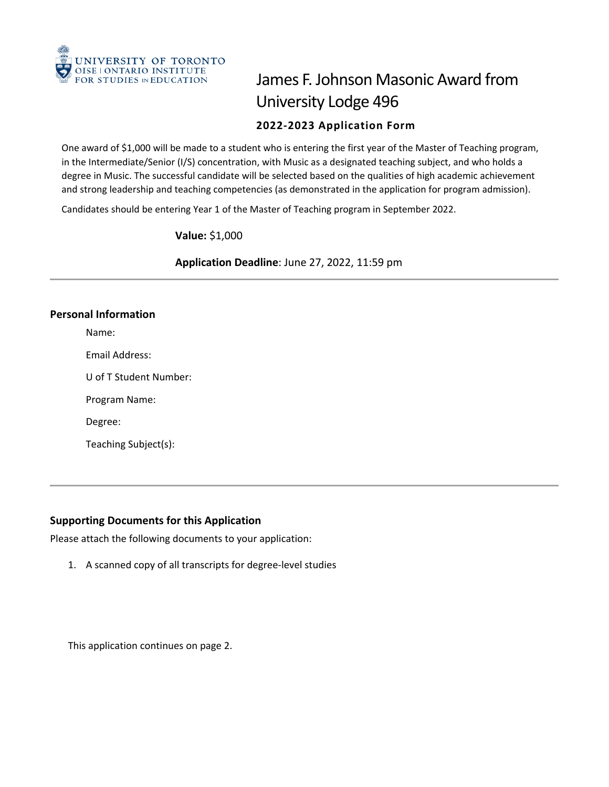

# James F. Johnson Masonic Award from University Lodge 496 **2022-2023 Application Form**

 One award of \$1,000 will be made to a student who is entering the first year of the Master of Teaching program, in the Intermediate/Senior (I/S) concentration, with Music as a designated teaching subject, and who holds a degree in Music. The successful candidate will be selected based on the qualities of high academic achievement and strong leadership and teaching competencies (as demonstrated in the application for program admission).

Candidates should be entering Year 1 of the Master of Teaching program in September 2022.

**Value:** \$1,000

**Application Deadline**: June 27, 2022, 11:59 pm

# **Personal Information**

Name:

Email Address:

U of T Student Number:

Program Name:

Degree:

Teaching Subject(s):

# **Supporting Documents for this Application**

Please attach the following documents to your application:

1. A scanned copy of all transcripts for degree-level studies

This application continues on page 2.